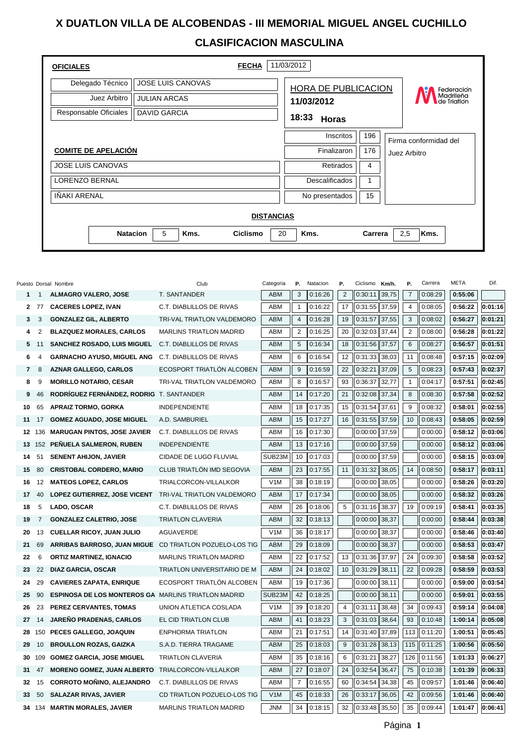## **X DUATLON VILLA DE ALCOBENDAS - III MEMORIAL MIGUEL ANGEL CUCHILLO CLASIFICACION MASCULINA**

| <b>OFICIALES</b>           |                              | <b>FECHA</b> | 11/03/2012            |     |                          |                       |  |  |  |  |  |
|----------------------------|------------------------------|--------------|-----------------------|-----|--------------------------|-----------------------|--|--|--|--|--|
| Delegado Técnico           | <b>JOSE LUIS CANOVAS</b>     |              | HORA DE PUBLICACION   |     |                          | Federación            |  |  |  |  |  |
| Juez Arbitro               | <b>JULIAN ARCAS</b>          |              | 11/03/2012            |     | Madrileña<br>de Triatlón |                       |  |  |  |  |  |
| Responsable Oficiales      | <b>DAVID GARCIA</b>          |              | 18:33<br><b>Horas</b> |     |                          |                       |  |  |  |  |  |
|                            |                              |              | Inscritos             | 196 |                          | Firma conformidad del |  |  |  |  |  |
| <b>COMITE DE APELACIÓN</b> |                              |              | Finalizaron           | 176 |                          | Juez Arbitro          |  |  |  |  |  |
| <b>JOSE LUIS CANOVAS</b>   |                              |              | Retirados             | 4   |                          |                       |  |  |  |  |  |
| LORENZO BERNAL             |                              |              | <b>Descalificados</b> |     |                          |                       |  |  |  |  |  |
| <b>IÑAKI ARENAL</b>        |                              |              | No presentados        | 15  |                          |                       |  |  |  |  |  |
| <b>DISTANCIAS</b>          |                              |              |                       |     |                          |                       |  |  |  |  |  |
|                            | 5<br><b>Natacion</b><br>Kms. | 20<br>Kms.   | Carrera               |     | 2,5<br>Kms.              |                       |  |  |  |  |  |

|    |                         | Puesto Dorsal Nombre                                       | Club                           | Categoria  | Ρ.             | Natacion | Р.             | Ciclismo | Km/h. | Ρ.             | Carrera | <b>META</b> | Dif.    |
|----|-------------------------|------------------------------------------------------------|--------------------------------|------------|----------------|----------|----------------|----------|-------|----------------|---------|-------------|---------|
|    | $1 \quad 1$             | <b>ALMAGRO VALERO, JOSE</b>                                | T. SANTANDER                   | <b>ABM</b> | 3              | 0:16:26  | $\overline{2}$ | 0:30:11  | 39,75 | $\overline{7}$ | 0:08:29 | 0:55:06     |         |
|    | 2 77                    | <b>CACERES LOPEZ, IVAN</b>                                 | C.T. DIABLILLOS DE RIVAS       | <b>ABM</b> | $\mathbf{1}$   | 0:16:22  | 17             | 0:31:55  | 37,59 | $\overline{4}$ | 0:08:05 | 0:56:22     | 0:01:16 |
| 3  | 3                       | <b>GONZALEZ GIL, ALBERTO</b>                               | TRI-VAL TRIATLON VALDEMORO     | <b>ABM</b> | $\overline{4}$ | 0:16:28  | 19             | 0:31:57  | 37,55 | 3              | 0:08:02 | 0:56:27     | 0:01:21 |
| 4  | 2                       | <b>BLAZQUEZ MORALES, CARLOS</b>                            | MARLINS TRIATLON MADRID        | <b>ABM</b> | $\overline{2}$ | 0:16:25  | 20             | 0:32:03  | 37,44 | 2              | 0:08:00 | 0:56:28     | 0:01:22 |
| 5  | 11                      | <b>SANCHEZ ROSADO, LUIS MIGUEL</b>                         | C.T. DIABLILLOS DE RIVAS       | <b>ABM</b> | 5              | 0:16:34  | 18             | 0:31:56  | 37,57 | 6              | 0:08:27 | 0:56:57     | 0:01:51 |
| 6  | $\overline{\mathbf{4}}$ | <b>GARNACHO AYUSO, MIGUEL ANG</b>                          | C.T. DIABLILLOS DE RIVAS       | ABM        | 6              | 0:16:54  | 12             | 0:31:33  | 38,03 | 11             | 0:08:48 | 0:57:15     | 0:02:09 |
| 7  | 8                       | <b>AZNAR GALLEGO, CARLOS</b>                               | ECOSPORT TRIATLÓN ALCOBEN      | <b>ABM</b> | 9              | 0:16:59  | 22             | 0:32:21  | 37,09 | $\overline{5}$ | 0:08:23 | 0:57:43     | 0:02:37 |
| 8  | 9                       | <b>MORILLO NOTARIO, CESAR</b>                              | TRI-VAL TRIATLON VALDEMORO     | <b>ABM</b> | 8              | 0:16:57  | 93             | 0:36:37  | 32,77 | $\mathbf{1}$   | 0:04:17 | 0:57:51     | 0:02:45 |
| 9  | 46                      | RODRIGUEZ FERNÁNDEZ, RODRIG T. SANTANDER                   |                                | <b>ABM</b> | 14             | 0:17:20  | 21             | 0:32:08  | 37,34 | 8              | 0:08:30 | 0:57:58     | 0:02:52 |
| 10 | 65                      | <b>APRAIZ TORMO, GORKA</b>                                 | <b>INDEPENDIENTE</b>           | <b>ABM</b> | 18             | 0:17:35  | 15             | 0:31:54  | 37,61 | 9              | 0:08:32 | 0:58:01     | 0:02:55 |
| 11 | 17                      | <b>GOMEZ AGUADO, JOSE MIGUEL</b>                           | A.D. SAMBURIEL                 | <b>ABM</b> | 15             | 0:17:27  | 16             | 0:31:55  | 37,59 | 10             | 0:08:43 | 0:58:05     | 0:02:59 |
|    | 12 136                  | <b>MARUGAN PINTOS, JOSE JAVIER</b>                         | C.T. DIABLILLOS DE RIVAS       | <b>ABM</b> | 16             | 0:17:30  |                | 0:00:00  | 37,59 |                | 0:00:00 | 0:58:12     | 0:03:06 |
|    |                         | 13 152 PEÑUELA SALMERON, RUBEN                             | <b>INDEPENDIENTE</b>           | <b>ABM</b> | 13             | 0:17:16  |                | 0:00:00  | 37,59 |                | 0:00:00 | 0:58:12     | 0:03:06 |
| 14 | 51                      | <b>SENENT AHIJON, JAVIER</b>                               | CIDADE DE LUGO FLUVIAL         | SUB23M     | 10             | 0:17:03  |                | 0:00:00  | 37,59 |                | 0:00:00 | 0:58:15     | 0:03:09 |
| 15 | 80                      | <b>CRISTOBAL CORDERO, MARIO</b>                            | CLUB TRIATLÓN IMD SEGOVIA      | <b>ABM</b> | 23             | 0:17:55  | 11             | 0:31:32  | 38,05 | 14             | 0:08:50 | 0:58:17     | 0:03:11 |
| 16 | 12                      | <b>MATEOS LOPEZ, CARLOS</b>                                | TRIALCORCON-VILLALKOR          | V1M        | 38             | 0:18:19  |                | 0:00:00  | 38,05 |                | 0:00:00 | 0:58:26     | 0:03:20 |
| 17 | 40                      | LOPEZ GUTIERREZ, JOSE VICENT                               | TRI-VAL TRIATLON VALDEMORO     | <b>ABM</b> | 17             | 0:17:34  |                | 0:00:00  | 38,05 |                | 0:00:00 | 0:58:32     | 0:03:26 |
| 18 | 5                       | LADO, OSCAR                                                | C.T. DIABLILLOS DE RIVAS       | <b>ABM</b> | 26             | 0:18:06  | 5              | 0:31:16  | 38,37 | 19             | 0:09:19 | 0:58:41     | 0:03:35 |
| 19 | $\overline{7}$          | <b>GONZALEZ CALETRIO, JOSE</b>                             | <b>TRIATLON CLAVERIA</b>       | <b>ABM</b> | 32             | 0:18:13  |                | 0:00:00  | 38,37 |                | 0:00:00 | 0:58:44     | 0:03:38 |
| 20 | 13                      | <b>CUELLAR RICOY, JUAN JULIO</b>                           | <b>AGUAVERDE</b>               | V1M        | 36             | 0:18:17  |                | 0:00:00  | 38,37 |                | 0:00:00 | 0:58:46     | 0:03:40 |
| 21 | 69                      | <b>ARRIBAS BARROSO, JUAN MIGUE</b>                         | CD TRIATLON POZUELO-LOS TIG    | <b>ABM</b> | 29             | 0:18:09  |                | 0:00:00  | 38,37 |                | 0:00:00 | 0:58:53     | 0:03:47 |
| 22 | 6                       | <b>ORTIZ MARTINEZ, IGNACIO</b>                             | <b>MARLINS TRIATLON MADRID</b> | <b>ABM</b> | 22             | 0:17:52  | 13             | 0:31:36  | 37,97 | 24             | 0:09:30 | 0:58:58     | 0:03:52 |
| 23 | 22                      | <b>DIAZ GARCIA, OSCAR</b>                                  | TRIATLON UNIVERSITARIO DE M    | <b>ABM</b> | 24             | 0:18:02  | 10             | 0:31:29  | 38,11 | 22             | 0:09:28 | 0:58:59     | 0:03:53 |
| 24 | 29                      | <b>CAVIERES ZAPATA, ENRIQUE</b>                            | ECOSPORT TRIATLÓN ALCOBEN      | <b>ABM</b> | 19             | 0:17:36  |                | 0:00:00  | 38,11 |                | 0:00:00 | 0:59:00     | 0:03:54 |
| 25 | 90                      | <b>ESPINOSA DE LOS MONTEROS GA MARLINS TRIATLON MADRID</b> |                                | SUB23M     | 42             | 0:18:25  |                | 0:00:00  | 38,11 |                | 0:00:00 | 0:59:01     | 0:03:55 |
| 26 | 23                      | PEREZ CERVANTES, TOMAS                                     | UNION ATLETICA COSLADA         | V1M        | 39             | 0:18:20  | $\overline{4}$ | 0:31:11  | 38,48 | 34             | 0:09:43 | 0:59:14     | 0:04:08 |
| 27 | 14                      | JAREÑO PRADENAS, CARLOS                                    | EL CID TRIATLON CLUB           | <b>ABM</b> | 41             | 0:18:23  | 3              | 0:31:03  | 38,64 | 93             | 0:10:48 | 1:00:14     | 0:05:08 |
| 28 | 150                     | PECES GALLEGO, JOAQUIN                                     | <b>ENPHORMA TRIATLON</b>       | ABM        | 21             | 0:17:51  | 14             | 0:31:40  | 37,89 | 113            | 0:11:20 | 1:00:51     | 0:05:45 |
| 29 | 10                      | <b>BROULLON ROZAS, GAIZKA</b>                              | S.A.D. TIERRA TRAGAME          | ABM        | 25             | 0:18:03  | 9              | 0:31:28  | 38,13 | 115            | 0:11:25 | 1:00:56     | 0:05:50 |
| 30 | 109                     | <b>GOMEZ GARCIA, JOSE MIGUEL</b>                           | <b>TRIATLON CLAVERIA</b>       | <b>ABM</b> | 35             | 0:18:16  | 6              | 0:31:21  | 38,27 | 126            | 0:11:56 | 1:01:33     | 0:06:27 |
| 31 | 47                      | <b>MORENO GOMEZ, JUAN ALBERTO</b>                          | TRIALCORCON-VILLALKOR          | <b>ABM</b> | 27             | 0:18:07  | 24             | 0:32:54  | 36,47 | 75             | 0:10:38 | 1:01:39     | 0:06:33 |
| 32 | 15                      | <b>CORROTO MOÑINO, ALEJANDRO</b>                           | C.T. DIABLILLOS DE RIVAS       | <b>ABM</b> | $\overline{7}$ | 0:16:55  | 60             | 0:34:54  | 34,38 | 45             | 0:09:57 | 1:01:46     | 0:06:40 |
| 33 | 50                      | <b>SALAZAR RIVAS, JAVIER</b>                               | CD TRIATLON POZUELO-LOS TIG    | V1M        | 45             | 0:18:33  | 26             | 0:33:17  | 36,05 | 42             | 0:09:56 | 1:01:46     | 0:06:40 |
|    |                         | 34 134 MARTIN MORALES, JAVIER                              | <b>MARLINS TRIATLON MADRID</b> | <b>JNM</b> | 34             | 0:18:15  | 32             | 0:33:48  | 35,50 | 35             | 0:09:44 | 1:01:47     | 0:06:41 |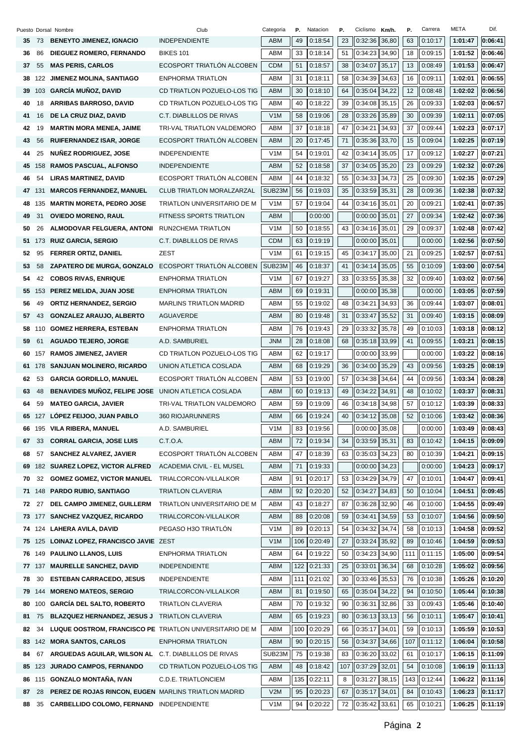|     |        | Puesto Dorsal Nombre                                    | Club                             | Categoria        | Р.  | Natacion | Ρ.  | Ciclismo        | Km/h.  | Ρ.  | Carrera | META    | Dif.    |
|-----|--------|---------------------------------------------------------|----------------------------------|------------------|-----|----------|-----|-----------------|--------|-----|---------|---------|---------|
|     | 35 73  | <b>BENEYTO JIMENEZ, IGNACIO</b>                         | <b>INDEPENDIENTE</b>             | ABM              | 49  | 0:18:54  | 23  | 0:32:36         | 36,80  | 63  | 0:10:17 | 1:01:47 | 0:06:41 |
| 36  | 86     | <b>DIEGUEZ ROMERO, FERNANDO</b>                         | <b>BIKES 101</b>                 | <b>ABM</b>       | 33  | 0:18:14  | 51  | 0:34:23         | 34,90  | 18  | 0:09:15 | 1:01:52 | 0:06:46 |
| 37  | 55     | <b>MAS PERIS, CARLOS</b>                                | ECOSPORT TRIATLON ALCOBEN        | <b>CDM</b>       | 51  | 0:18:57  | 38  | 0:34:07         | 35,17  | 13  | 0:08:49 | 1:01:53 | 0:06:47 |
| 38  | 122    | <b>JIMENEZ MOLINA, SANTIAGO</b>                         | <b>ENPHORMA TRIATLON</b>         | <b>ABM</b>       | 31  | 0:18:11  | 58  | 0:34:39         | 34,63  | 16  | 0:09:11 | 1:02:01 | 0:06:55 |
| 39  | 103    | <b>GARCÍA MUÑOZ, DAVID</b>                              | CD TRIATLON POZUELO-LOS TIG      | <b>ABM</b>       | 30  | 0:18:10  | 64  | 0:35:04         | 34,22  | 12  | 0:08:48 | 1:02:02 | 0:06:56 |
| 40  | 18     | <b>ARRIBAS BARROSO, DAVID</b>                           | CD TRIATLON POZUELO-LOS TIG      | ABM              | 40  | 0:18:22  | 39  | 0:34:08         | 35, 15 | 26  | 0:09:33 | 1:02:03 | 0:06:57 |
| 41  | 16     | DE LA CRUZ DIAZ, DAVID                                  | C.T. DIABLILLOS DE RIVAS         | V1M              | 58  | 0:19:06  | 28  | 0:33:26         | 35,89  | 30  | 0:09:39 | 1:02:11 | 0:07:05 |
| 42  | 19     | <b>MARTIN MORA MENEA, JAIME</b>                         | TRI-VAL TRIATLON VALDEMORO       | ABM              | 37  | 0:18:18  | 47  | 0:34:21         | 34,93  | 37  | 0:09:44 | 1:02:23 | 0:07:17 |
| 43  | 56     | <b>RUIFERNANDEZ ISAR, JORGE</b>                         | ECOSPORT TRIATLON ALCOBEN        | <b>ABM</b>       | 20  | 0:17:45  | 71  | 0:35:36         | 33,70  | 15  | 0:09:04 | 1:02:25 | 0:07:19 |
| 44  | 25     | NUÑEZ RODRIGUEZ, JOSE                                   | <b>INDEPENDIENTE</b>             | V1M              | 54  | 0:19:01  | 42  | 0:34:14         | 35,05  | 17  | 0:09:12 | 1:02:27 | 0:07:21 |
| 45  | 158    | <b>RAMOS PASCUAL, ALFONSO</b>                           | <b>INDEPENDIENTE</b>             | ABM              | 52  | 0:18:58  | 37  | 0:34:05         | 35,20  | 23  | 0:09:29 | 1:02:32 | 0:07:26 |
| 46  | 54     | <b>LIRAS MARTINEZ, DAVID</b>                            | ECOSPORT TRIATLÓN ALCOBEN        | <b>ABM</b>       | 44  | 0:18:32  | 55  | 0:34:33         | 34,73  | 25  | 0:09:30 | 1:02:35 | 0:07:29 |
| 47  | 131    | <b>MARCOS FERNANDEZ, MANUEL</b>                         | <b>CLUB TRIATLON MORALZARZAL</b> | SUB23M           | 56  | 0:19:03  | 35  | 0:33:59         | 35,31  | 28  | 0:09:36 | 1:02:38 | 0:07:32 |
| 48  | 135    | <b>MARTIN MORETA, PEDRO JOSE</b>                        | TRIATLON UNIVERSITARIO DE M      | V1M              | 57  | 0:19:04  | 44  | 0:34:16         | 35,01  | 20  | 0:09:21 | 1:02:41 | 0:07:35 |
| 49  | 31     | <b>OVIEDO MORENO, RAUL</b>                              | <b>FITNESS SPORTS TRIATLON</b>   | ABM              |     | 0:00:00  |     | 0:00:00         | 35,01  | 27  | 0:09:34 | 1:02:42 | 0:07:36 |
| 50  | 26     | ALMODOVAR FELGUERA, ANTONI                              | RUN2CHEMA TRIATLON               | V1M              | 50  | 0:18:55  | 43  | 0:34:16         | 35,01  | 29  | 0:09:37 | 1:02:48 | 0:07:42 |
| 51  | 173    | <b>RUIZ GARCIA, SERGIO</b>                              | C.T. DIABLILLOS DE RIVAS         | CDM              | 63  | 0:19:19  |     | 0:00:00         | 35,01  |     | 0:00:00 | 1:02:56 | 0:07:50 |
| 52  | 95     | <b>FERRER ORTIZ, DANIEL</b>                             | <b>ZEST</b>                      | V1M              | 61  | 0:19:15  | 45  | 0:34:17         | 35,00  | 21  | 0:09:25 | 1:02:57 | 0:07:51 |
| 53  | 58     | <b>ZAPATERO DE MURGA, GONZALO</b>                       | ECOSPORT TRIATLÓN ALCOBEN        | SUB23M           | 46  | 0:18:37  | 41  | 0:34:14         | 35,05  | 55  | 0:10:09 | 1:03:00 | 0:07:54 |
| 54  | 42     | <b>COBOS RIVAS, ENRIQUE</b>                             | <b>ENPHORMA TRIATLON</b>         | V <sub>1</sub> M | 67  | 0:19:27  | 33  | 0:33:55         | 35,38  | 32  | 0:09:40 | 1:03:02 | 0:07:56 |
|     |        | 55 153 PEREZ MELIDA, JUAN JOSE                          | <b>ENPHORMA TRIATLON</b>         | <b>ABM</b>       | 69  | 0:19:31  |     | 0:00:00         | 35,38  |     | 0:00:00 | 1:03:05 | 0:07:59 |
| 56  | 49     | <b>ORTIZ HERNANDEZ, SERGIO</b>                          | <b>MARLINS TRIATLON MADRID</b>   | ABM              | 55  | 0:19:02  | 48  | 0:34:21         | 34,93  | 36  | 0:09:44 | 1:03:07 | 0:08:01 |
| 57  | 43     | <b>GONZALEZ ARAUJO, ALBERTO</b>                         | <b>AGUAVERDE</b>                 | ABM              | 80  | 0:19:48  | 31  | 0:33:47         | 35,52  | 31  | 0:09:40 | 1:03:15 | 0:08:09 |
| 58  | 110    | <b>GOMEZ HERRERA, ESTEBAN</b>                           | <b>ENPHORMA TRIATLON</b>         | ABM              | 76  | 0:19:43  | 29  | 0:33:32         | 35,78  | 49  | 0:10:03 | 1:03:18 | 0:08:12 |
| 59  | 61     | <b>AGUADO TEJERO, JORGE</b>                             | A.D. SAMBURIEL                   | <b>JNM</b>       | 28  | 0:18:08  | 68  | 0:35:18         | 33,99  | 41  | 0:09:55 | 1:03:21 | 0:08:15 |
| 60. |        | 157 RAMOS JIMENEZ, JAVIER                               | CD TRIATLON POZUELO-LOS TIG      | ABM              | 62  | 0:19:17  |     | 0:00:00         | 33,99  |     | 0:00:00 | 1:03:22 | 0:08:16 |
| 61. | 178    | <b>SANJUAN MOLINERO, RICARDO</b>                        | UNION ATLETICA COSLADA           | <b>ABM</b>       | 68  | 0:19:29  | 36  | 0:34:00         | 35,29  | 43  | 0:09:56 | 1:03:25 | 0:08:19 |
| 62  | 53     | <b>GARCIA GORDILLO, MANUEL</b>                          | ECOSPORT TRIATLÓN ALCOBEN        | ABM              | 53  | 0:19:00  | 57  | 0:34:38         | 34,64  | 44  | 0:09:56 | 1:03:34 | 0:08:28 |
| 63  | 48     | <b>BENAVIDES MUNOZ, FELIPE JOSE</b>                     | UNION ATLETICA COSLADA           | <b>ABM</b>       | 60  | 0:19:13  | 49  | 0:34:22         | 34,91  | 48  | 0:10:02 | 1:03:37 | 0:08:31 |
| 64  | 59     | <b>MATEO GARCIA, JAVIER</b>                             | TRI-VAL TRIATLON VALDEMORO       | ABM              | 59  | 0:19:09  | 46  | 0:34:18         | 34,98  | 57  | 0:10:12 | 1:03:39 | 0:08:33 |
|     |        | 65 127 LOPEZ FEIJOO, JUAN PABLO                         | 360 RIOJARUNNERS                 | ABM              | 66  | 0:19:24  | 40  | 0:34:12         | 35,08  | 52  | 0:10:06 | 1:03:42 | 0:08:36 |
| 66  |        | 195 VILA RIBERA, MANUEL                                 | A.D. SAMBURIEL                   | V1M              | 83  | 0:19:56  |     | $0:00:00$ 35,08 |        |     | 0:00:00 | 1:03:49 | 0:08:43 |
| 67  | 33     | <b>CORRAL GARCIA, JOSE LUIS</b>                         | C.T.O.A.                         | ABM              | 72  | 0:19:34  | 34  | $0:33:59$ 35,31 |        | 83  | 0:10:42 | 1:04:15 | 0:09:09 |
| 68  | 57     | <b>SANCHEZ ALVAREZ, JAVIER</b>                          | ECOSPORT TRIATLÓN ALCOBEN        | ABM              | 47  | 0:18:39  | 63  | $0:35:03$ 34,23 |        | 80  | 0:10:39 | 1:04:21 | 0:09:15 |
| 69  | 182    | <b>SUAREZ LOPEZ, VICTOR ALFRED</b>                      | ACADEMIA CIVIL - EL MUSEL        | ABM              | 71  | 0:19:33  |     | 0:00:00         | 34,23  |     | 0:00:00 | 1:04:23 | 0:09:17 |
| 70  | 32     | <b>GOMEZ GOMEZ, VICTOR MANUEL</b>                       | TRIALCORCON-VILLALKOR            | ABM              | 91  | 0:20:17  | 53  | $0:34:29$ 34,79 |        | 47  | 0:10:01 | 1:04:47 | 0:09:41 |
| 71  |        | 148 PARDO RUBIO, SANTIAGO                               | <b>TRIATLON CLAVERIA</b>         | ABM              | 92  | 0:20:20  | 52  | 0:34:27         | 34,83  | 50  | 0:10:04 | 1:04:51 | 0:09:45 |
| 72  | 27     | <b>DEL CAMPO JIMENEZ, GUILLERM</b>                      | TRIATLON UNIVERSITARIO DE M      | ABM              | 43  | 0:18:27  | 87  | $0:36:28$ 32,90 |        | 46  | 0:10:00 | 1:04:55 | 0:09:49 |
|     | 73 177 | <b>SANCHEZ VAZQUEZ, RICARDO</b>                         | TRIALCORCON-VILLALKOR            | ABM              | 88  | 0:20:08  | 59  | 0:34:41 34,59   |        | 53  | 0:10:07 | 1:04:56 | 0:09:50 |
|     |        | 74 124 LAHERA AVILA, DAVID                              | PEGASO H3O TRIATLON              | V <sub>1</sub> M | 89  | 0:20:13  | 54  | 0:34:32         | 34,74  | 58  | 0:10:13 | 1:04:58 | 0:09:52 |
| 75  | 125    | LOINAZ LOPEZ, FRANCISCO JAVIE ZEST                      |                                  | V <sub>1</sub> M | 106 | 0:20:49  | 27  | $0:33:24$ 35,92 |        | 89  | 0:10:46 | 1:04:59 | 0:09:53 |
| 76  | 149    | <b>PAULINO LLANOS, LUIS</b>                             | ENPHORMA TRIATLON                | ABM              | 64  | 0:19:22  | 50  | $0:34:23$ 34,90 |        | 111 | 0:11:15 | 1:05:00 | 0:09:54 |
|     | 77 137 | <b>MAURELLE SANCHEZ, DAVID</b>                          | <b>INDEPENDIENTE</b>             | ABM              | 122 | 0:21:33  | 25  | 0:33:01         | 36,34  | 68  | 0:10:28 | 1:05:02 | 0:09:56 |
| 78  | 30     | <b>ESTEBAN CARRACEDO, JESUS</b>                         | <b>INDEPENDIENTE</b>             | ABM              | 111 | 0:21:02  | 30  | $0:33:46$ 35,53 |        | 76  | 0:10:38 | 1:05:26 | 0:10:20 |
| 79. | 144    | <b>MORENO MATEOS, SERGIO</b>                            | TRIALCORCON-VILLALKOR            | ABM              | 81  | 0:19:50  | 65  | $0:35:04$ 34,22 |        | 94  | 0:10:50 | 1:05:44 | 0:10:38 |
| 80  | 100    | <b>GARCÍA DEL SALTO, ROBERTO</b>                        | <b>TRIATLON CLAVERIA</b>         | ABM              | 70  | 0:19:32  | 90  | 0:36:31         | 32,86  | 33  | 0:09:43 | 1:05:46 | 0:10:40 |
| 81  | 75     | <b>BLAZQUEZ HERNANDEZ, JESUS J</b>                      | <b>TRIATLON CLAVERIA</b>         | ABM              | 65  | 0:19:23  | 80  | $0:36:13$ 33,13 |        | 56  | 0:10:11 | 1:05:47 | 0:10:41 |
| 82  | 34     | LUQUE OOSTROM, FRANCISCO PE TRIATLON UNIVERSITARIO DE M |                                  | ABM              | 100 | 0:20:29  | 66  | 0:35:17         | 34,01  | 59  | 0:10:13 | 1:05:59 | 0:10:53 |
| 83  | 142    | <b>MORA SANTOS, CARLOS</b>                              | <b>ENPHORMA TRIATLON</b>         | ABM              | 90  | 0:20:15  | 56  | 0:34:37         | 34,66  | 107 | 0:11:12 | 1:06:04 | 0:10:58 |
| 84  | 67     | ARGUEDAS AGUILAR, WILSON AL                             | C.T. DIABLILLOS DE RIVAS         | SUB23M           | 75  | 0:19:38  | 83  | 0:36:20 33,02   |        | 61  | 0:10:17 | 1:06:15 | 0:11:09 |
|     | 85 123 | <b>JURADO CAMPOS, FERNANDO</b>                          | CD TRIATLON POZUELO-LOS TIG      | ABM              | 48  | 0:18:42  | 107 | $0:37:29$ 32,01 |        | 54  | 0:10:08 | 1:06:19 | 0:11:13 |
| 86  | 115    | <b>GONZALO MONTAÑA, IVAN</b>                            | C.D.E. TRIATLONCIEM              | ABM              | 135 | 0:22:11  | 8   | $0:31:27$ 38,15 |        | 143 | 0:12:44 | 1:06:22 | 0:11:16 |
| 87  | 28     | PEREZ DE ROJAS RINCON, EUGEN MARLINS TRIATLON MADRID    |                                  | V2M              | 95  | 0:20:23  | 67  | $0:35:17$ 34,01 |        | 84  | 0:10:43 | 1:06:23 | 0:11:17 |
| 88  | 35     | <b>CARBELLIDO COLOMO, FERNAND INDEPENDIENTE</b>         |                                  | V <sub>1</sub> M | 94  | 0:20:22  | 72  | $0:35:42$ 33,61 |        | 65  | 0:10:21 | 1:06:25 | 0:11:19 |
|     |        |                                                         |                                  |                  |     |          |     |                 |        |     |         |         |         |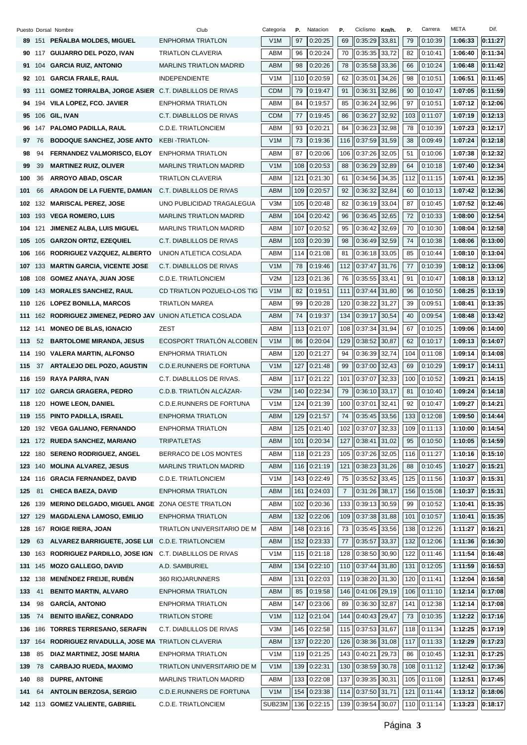|         |         | Puesto Dorsal Nombre                                        | Club                            | Categoria        | Р.  | Natacion    | Р.             | Ciclismo          | Km/h. | Ρ.  | Carrera | META    | Dif.    |
|---------|---------|-------------------------------------------------------------|---------------------------------|------------------|-----|-------------|----------------|-------------------|-------|-----|---------|---------|---------|
|         |         | 89 151 PENALBA MOLDES, MIGUEL                               | <b>ENPHORMA TRIATLON</b>        | V <sub>1</sub> M | 97  | 0:20:25     | 69             | 0:35:29           | 33,81 | 79  | 0:10:39 | 1:06:33 | 0:11:27 |
|         |         | 90 117 GUIJARRO DEL POZO, IVAN                              | <b>TRIATLON CLAVERIA</b>        | ABM              | 96  | 0:20:24     | 70             | 0:35:35           | 33,72 | 82  | 0:10:41 | 1:06:40 | 0:11:34 |
|         |         | 91 104 GARCIA RUIZ, ANTONIO                                 | <b>MARLINS TRIATLON MADRID</b>  | ABM              | 98  | 0:20:26     | 78             | 0:35:58           | 33,36 | 66  | 0:10:24 | 1:06:48 | 0:11:42 |
| 92      | 101     | <b>GARCIA FRAILE, RAUL</b>                                  | <b>INDEPENDIENTE</b>            | V <sub>1</sub> M | 110 | 0:20:59     | 62             | 0:35:01           | 34,26 | 98  | 0:10:51 | 1:06:51 | 0:11:45 |
|         | 93 111  | <b>GOMEZ TORRALBA, JORGE ASIER C.T. DIABLILLOS DE RIVAS</b> |                                 | <b>CDM</b>       | 79  | 0:19:47     | 91             | 0:36:31           | 32,86 | 90  | 0:10:47 | 1:07:05 | 0:11:59 |
| 94      |         | 194 VILA LOPEZ, FCO. JAVIER                                 | ENPHORMA TRIATLON               | ABM              | 84  | 0:19:57     | 85             | 0:36:24           | 32,96 | 97  | 0:10:51 | 1:07:12 | 0:12:06 |
| 95      |         | 106 GIL, IVAN                                               | C.T. DIABLILLOS DE RIVAS        | <b>CDM</b>       | 77  | 0:19:45     | 86             | 0:36:27           | 32,92 | 103 | 0:11:07 | 1:07:19 | 0:12:13 |
|         |         | 96 147 PALOMO PADILLA, RAUL                                 | C.D.E. TRIATLONCIEM             | ABM              | 93  | 0:20:21     | 84             | 0:36:23           | 32,98 | 78  | 0:10:39 | 1:07:23 | 0:12:17 |
| 97      | 76      | <b>BODOQUE SANCHEZ, JOSE ANTO</b>                           | <b>KEBI-TRIATLON-</b>           | V <sub>1</sub> M | 73  | 0:19:36     | 116            | $0:37:59$ 31,59   |       | 38  | 0:09:49 | 1:07:24 | 0:12:18 |
| 98      | 94      | <b>FERNANDEZ VALMORISCO, ELOY</b>                           | ENPHORMA TRIATLON               | ABM              | 87  | 0:20:06     | 106            | 0:37:26           | 32,05 | 51  | 0:10:06 | 1:07:38 | 0:12:32 |
| 99      | 39      | <b>MARTINEZ RUIZ, OLIVER</b>                                | <b>MARLINS TRIATLON MADRID</b>  | V <sub>1</sub> M | 108 | 0:20:53     | 88             | 0:36:29           | 32,89 | 64  | 0:10:18 | 1:07:40 | 0:12:34 |
| 100     | 36      | <b>ARROYO ABAD, OSCAR</b>                                   | <b>TRIATLON CLAVERIA</b>        | ABM              | 121 | 0:21:30     | 61             | 0:34:56           | 34,35 | 112 | 0:11:15 | 1:07:41 | 0:12:35 |
| 101     | 66      | ARAGON DE LA FUENTE, DAMIAN                                 | C.T. DIABLILLOS DE RIVAS        | ABM              | 109 | 0:20:57     | 92             | 0:36:32           | 32,84 | 60  | 0:10:13 | 1:07:42 | 0:12:36 |
|         |         | 102 132 MARISCAL PEREZ, JOSE                                | UNO PUBLICIDAD TRAGALEGUA       | V <sub>3</sub> M | 105 | 0:20:48     | 82             | 0:36:19           | 33,04 | 87  | 0:10:45 | 1:07:52 | 0:12:46 |
| 103     |         | 193 VEGA ROMERO, LUIS                                       | <b>MARLINS TRIATLON MADRID</b>  | ABM              | 104 | 0:20:42     | 96             | 0:36:45           | 32,65 | 72  | 0:10:33 | 1:08:00 | 0:12:54 |
| 104     | 121     | JIMENEZ ALBA, LUIS MIGUEL                                   | <b>MARLINS TRIATLON MADRID</b>  | ABM              | 107 | 0:20:52     | 95             | 0:36:42           | 32,69 | 70  | 0:10:30 | 1:08:04 | 0:12:58 |
| 105     |         | 105 GARZON ORTIZ, EZEQUIEL                                  | C.T. DIABLILLOS DE RIVAS        | ABM              | 103 | 0:20:39     | 98             | 0:36:49           | 32,59 | 74  | 0:10:38 | 1:08:06 | 0:13:00 |
| 106     | 166     | RODRIGUEZ VAZQUEZ, ALBERTO                                  | UNION ATLETICA COSLADA          | ABM              | 114 | 0:21:08     | 81             | 0:36:18           | 33,05 | 85  | 0:10:44 | 1:08:10 | 0:13:04 |
| 107 133 |         | <b>MARTIN GARCIA, VICENTE JOSE</b>                          | C.T. DIABLILLOS DE RIVAS        | V1M              | 78  | 0:19:46     | 112            | $0:37:47$ 31,76   |       | 77  | 0:10:39 | 1:08:12 | 0:13:06 |
| 108     |         | 108 GOMEZ ANAYA, JUAN JOSE                                  | C.D.E. TRIATLONCIEM             | V2M              | 123 | 0:21:36     | 76             | 0:35:55           | 33,41 | 91  | 0:10:47 | 1:08:18 | 0:13:12 |
| 109     |         | 143 MORALES SANCHEZ, RAUL                                   | CD TRIATLON POZUELO-LOS TIG     | V1M              | 82  | 0:19:51     | 111            | 0:37:44           | 31,80 | 96  | 0:10:50 | 1:08:25 | 0:13:19 |
|         |         | 110 126 LOPEZ BONILLA, MARCOS                               | <b>TRIATLON MAREA</b>           | ABM              | 99  | 0:20:28     | 120            | 0:38:22           | 31,27 | 39  | 0:09:51 | 1:08:41 | 0:13:35 |
| 111     |         | 162 RODRIGUEZ JIMENEZ, PEDRO JAV                            | UNION ATLETICA COSLADA          | ABM              | 74  | 0:19:37     | 134            | 0:39:17           | 30,54 | 40  | 0:09:54 | 1:08:48 | 0:13:42 |
| 112 141 |         | <b>MONEO DE BLAS, IGNACIO</b>                               | ZEST                            | ABM              | 113 | 0:21:07     | 108            | 0:37:34 31,94     |       | 67  | 0:10:25 | 1:09:06 | 0:14:00 |
| 113     | 52      | <b>BARTOLOME MIRANDA, JESUS</b>                             | ECOSPORT TRIATLON ALCOBEN       | V <sub>1</sub> M | 86  | 0:20:04     | 129            | 0:38:52           | 30,87 | 62  | 0:10:17 | 1:09:13 | 0:14:07 |
| 114     | 190     | <b>VALERA MARTIN, ALFONSO</b>                               | <b>ENPHORMA TRIATLON</b>        | ABM              | 120 | 0:21:27     | 94             | 0:36:39           | 32,74 | 104 | 0:11:08 | 1:09:14 | 0:14:08 |
| 115     | 37      | ARTALEJO DEL POZO, AGUSTIN                                  | C.D.E.RUNNERS DE FORTUNA        | V <sub>1</sub> M | 127 | 0:21:48     | 99             | 0:37:00           | 32,43 | 69  | 0:10:29 | 1:09:17 | 0:14:11 |
|         |         | 116 159 RAYA PARRA, IVAN                                    | C.T. DIABLILLOS DE RIVAS.       | ABM              | 117 | 0:21:22     | 101            | 0:37:07           | 32,33 | 100 | 0:10:52 | 1:09:21 | 0:14:15 |
|         |         | 117 102 GARCIA GRAGERA, PEDRO                               | C.D.B. TRIATLÓN ALCÁZAR-        | V2M              | 140 | 0:22:34     | 79             | 0:36:10           | 33,17 | 81  | 0:10:40 | 1:09:24 | 0:14:18 |
| 118     |         |                                                             | <b>C.D.E.RUNNERS DE FORTUNA</b> | V1M              | 124 | 0:21:39     | 100            | 0:37:01           | 32,41 | 92  | 0:10:47 | 1:09:27 | 0:14:21 |
|         |         | 120 HOWE LEON, DANIEL<br>119 155 PINTO PADILLA, ISRAEL      | <b>ENPHORMA TRIATLON</b>        | <b>ABM</b>       | 129 | 0:21:57     | 74             | $0:35:45$ 33,56   |       | 133 | 0:12:08 | 1:09:50 | 0:14:44 |
|         |         |                                                             | <b>ENPHORMA TRIATLON</b>        |                  |     |             |                |                   |       |     |         |         |         |
| 120     |         | 192 VEGA GALIANO, FERNANDO                                  |                                 | ABM              | 125 | 0:21:40     | 102            | $0:37:07$ 32,33   |       | 109 | 0:11:13 | 1:10:00 | 0:14:54 |
|         |         | 121 172 RUEDA SANCHEZ, MARIANO                              | <b>TRIPATLETAS</b>              | ABM              | 101 | 0:20:34     | 127            | $0:38:41$ 31,02   |       | 95  | 0:10:50 | 1:10:05 | 0:14:59 |
|         | 122 180 | <b>SERENO RODRIGUEZ, ANGEL</b>                              | BERRACO DE LOS MONTES           | ABM              | 118 | 0:21:23     | 105            | $0:37:26$ 32,05   |       | 116 | 0:11:27 | 1:10:16 | 0:15:10 |
| 123 140 |         | <b>MOLINA ALVAREZ, JESUS</b>                                | <b>MARLINS TRIATLON MADRID</b>  | ABM              |     | 116 0:21:19 | 121            | $0:38:23$ 31,26   |       | 88  | 0:10:45 | 1:10:27 | 0:15:21 |
|         |         | 124 116 GRACIA FERNANDEZ, DAVID                             | C.D.E. TRIATLONCIEM             | V <sub>1</sub> M | 143 | 0:22:49     | 75             | 0:35:52           | 33,45 | 125 | 0:11:56 | 1:10:37 | 0:15:31 |
| 125     | 81      | <b>CHECA BAEZA, DAVID</b>                                   | <b>ENPHORMA TRIATLON</b>        | ABM              | 161 | 0:24:03     | $\overline{7}$ | 0:31:26           | 38,17 | 156 | 0:15:08 | 1:10:37 | 0:15:31 |
| 126     | 139     | <b>MERINO DELGADO, MIGUEL ANGE ZONA OESTE TRIATLON</b>      |                                 | ABM              | 102 | 0:20:36     | 133            | $0:39:13$ 30,59   |       | 99  | 0:10:52 | 1:10:41 | 0:15:35 |
| 127 129 |         | <b>MAGDALENA LAMOSO, EMILIO</b>                             | ENPHORMA TRIATLON               | ABM              | 132 | 0:22:06     | 109            | $0:37:38$ 31,88   |       | 101 | 0:10:57 | 1:10:41 | 0:15:35 |
| 128     | 167     | <b>ROIGE RIERA, JOAN</b>                                    | TRIATLON UNIVERSITARIO DE M     | ABM              | 148 | 0:23:16     | 73             | $0:35:45$ 33,56   |       | 138 | 0:12:26 | 1:11:27 | 0:16:21 |
| 129     | 63      | ALVAREZ BARRIGUETE, JOSE LUI                                | C.D.E. TRIATLONCIEM             | ABM              | 152 | 0:23:33     | 77             | $0:35:57$ 33,37   |       | 132 | 0:12:06 | 1:11:36 | 0:16:30 |
| 130     |         | 163 RODRIGUEZ PARDILLO, JOSE IGN                            | C.T. DIABLILLOS DE RIVAS        | V <sub>1</sub> M | 115 | 0:21:18     | 128            | 0:38:50           | 30,90 | 122 | 0:11:46 | 1:11:54 | 0:16:48 |
| 131     | 145     | <b>MOZO GALLEGO, DAVID</b>                                  | A.D. SAMBURIEL                  | ABM              | 134 | 0:22:10     | 110            | $0:37:44$ 31,80   |       | 131 | 0:12:05 | 1:11:59 | 0:16:53 |
| 132 138 |         | <b>MENÉNDEZ FREIJE, RUBÉN</b>                               | 360 RIOJARUNNERS                | ABM              | 131 | 0:22:03     | 119            | $0:38:20$ 31,30   |       | 120 | 0:11:41 | 1:12:04 | 0:16:58 |
| 133     | 41      | <b>BENITO MARTIN, ALVARO</b>                                | <b>ENPHORMA TRIATLON</b>        | ABM              | 85  | 0:19:58     | 146            | $0:41:06$ 29,19   |       | 106 | 0:11:10 | 1:12:14 | 0:17:08 |
| 134     | 98      | <b>GARCÍA, ANTONIO</b>                                      | ENPHORMA TRIATLON               | ABM              | 147 | 0:23:06     | 89             | $0:36:30$ 32,87   |       | 141 | 0:12:38 | 1:12:14 | 0:17:08 |
| 135     | 74      | <b>BENITO IBAÑEZ, CONRADO</b>                               | <b>TRIATLON STORE</b>           | V <sub>1</sub> M | 112 | 0:21:04     | 144            | $0:40:43$ 29,47   |       | 73  | 0:10:35 | 1:12:22 | 0:17:16 |
| 136     | 186     | <b>TORRES TERRESANO, SERAFIN</b>                            | C.T. DIABLILLOS DE RIVAS        | V3M              | 145 | 0:22:58     | 115            | $0:37:53$ 31,67   |       | 118 | 0:11:34 | 1:12:25 | 0:17:19 |
| 137     | 164     | RODRIGUEZ RIVADULLA, JOSE MA TRIATLON CLAVERIA              |                                 | ABM              | 137 | 0:22:20     | 126            | $0:38:36$ 31,08   |       | 117 | 0:11:33 | 1:12:29 | 0:17:23 |
| 138     | 85      | DIAZ MARTINEZ, JOSE MARIA                                   | ENPHORMA TRIATLON               | V <sub>1</sub> M | 119 | 0:21:25     | 143            | 0:40:21           | 29,73 | 86  | 0:10:45 | 1:12:31 | 0:17:25 |
| 139     | 78      | <b>CARBAJO RUEDA, MAXIMO</b>                                | TRIATLON UNIVERSITARIO DE M     | V <sub>1</sub> M | 139 | 0:22:31     | 130            | $0:38:59$ 30,78   |       | 108 | 0:11:12 | 1:12:42 | 0:17:36 |
| 140     | 88      | <b>DUPRE, ANTOINE</b>                                       | <b>MARLINS TRIATLON MADRID</b>  | ABM              | 133 | 0:22:08     | 137            | 0:39:35           | 30,31 | 105 | 0:11:08 | 1:12:51 | 0:17:45 |
| 141     | 64      | <b>ANTOLIN BERZOSA, SERGIO</b>                              | C.D.E.RUNNERS DE FORTUNA        | V <sub>1</sub> M | 154 | 0:23:38     | 114            | $0:37:50$ 31,71   |       | 121 | 0:11:44 | 1:13:12 | 0:18:06 |
|         |         | 142 113 GOMEZ VALIENTE, GABRIEL                             | C.D.E. TRIATLONCIEM             | SUB23M           |     | 136 0:22:15 |                | 139 0:39:54 30,07 |       | 110 | 0:11:14 | 1:13:23 | 0:18:17 |